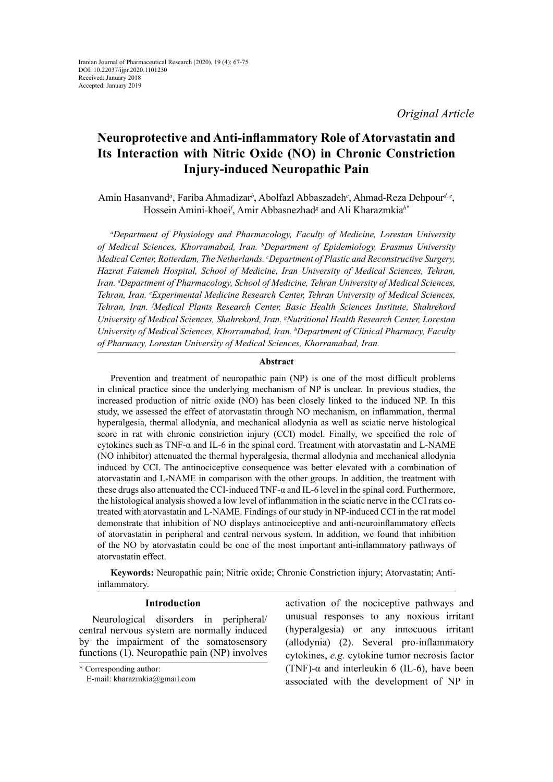# **Neuroprotective and Anti-inflammatory Role of Atorvastatin and Its Interaction with Nitric Oxide (NO) in Chronic Constriction Injury-induced Neuropathic Pain**

Amin Hasanvand<sup>a</sup>, Fariba Ahmadizar<sup>b</sup>, Abolfazl Abbaszadeh<sup>c</sup>, Ahmad-Reza Dehpour<sup>d, e</sup>, Hossein Amini-khoei*<sup>f</sup>* , Amir Abbasnezhad*<sup>g</sup>* and Ali Kharazmkia*h\**

*a Department of Physiology and Pharmacology, Faculty of Medicine, Lorestan University of Medical Sciences, Khorramabad, Iran. b Department of Epidemiology, Erasmus University Medical Center, Rotterdam, The Netherlands. c Department of Plastic and Reconstructive Surgery, Hazrat Fatemeh Hospital, School of Medicine, Iran University of Medical Sciences, Tehran, Iran. d Department of Pharmacology, School of Medicine, Tehran University of Medical Sciences, Tehran, Iran. e Experimental Medicine Research Center, Tehran University of Medical Sciences, Tehran, Iran. f Medical Plants Research Center, Basic Health Sciences Institute, Shahrekord University of Medical Sciences, Shahrekord, Iran. g Nutritional Health Research Center, Lorestan*  University of Medical Sciences, Khorramabad, Iran. <sup>h</sup>Department of Clinical Pharmacy, Faculty *of Pharmacy, Lorestan University of Medical Sciences, Khorramabad, Iran.*

# **Abstract**

Prevention and treatment of neuropathic pain (NP) is one of the most difficult problems in clinical practice since the underlying mechanism of NP is unclear. In previous studies, the increased production of nitric oxide (NO) has been closely linked to the induced NP. In this study, we assessed the effect of atorvastatin through NO mechanism, on inflammation, thermal hyperalgesia, thermal allodynia, and mechanical allodynia as well as sciatic nerve histological score in rat with chronic constriction injury (CCI) model. Finally, we specified the role of cytokines such as TNF-α and IL-6 in the spinal cord. Treatment with atorvastatin and L-NAME (NO inhibitor) attenuated the thermal hyperalgesia, thermal allodynia and mechanical allodynia induced by CCI. The antinociceptive consequence was better elevated with a combination of atorvastatin and L-NAME in comparison with the other groups. In addition, the treatment with these drugs also attenuated the CCI-induced TNF-α and IL-6 level in the spinal cord. Furthermore, the histological analysis showed a low level of inflammation in the sciatic nerve in the CCI rats cotreated with atorvastatin and L-NAME. Findings of our study in NP-induced CCI in the rat model demonstrate that inhibition of NO displays antinociceptive and anti-neuroinflammatory effects of atorvastatin in peripheral and central nervous system. In addition, we found that inhibition of the NO by atorvastatin could be one of the most important anti-inflammatory pathways of atorvastatin effect.

**Keywords:** Neuropathic pain; Nitric oxide; Chronic Constriction injury; Atorvastatin; Antiinflammatory.

## **Introduction**

Neurological disorders in peripheral/ central nervous system are normally induced by the impairment of the somatosensory functions (1). Neuropathic pain (NP) involves activation of the nociceptive pathways and unusual responses to any noxious irritant (hyperalgesia) or any innocuous irritant (allodynia) (2). Several pro-inflammatory cytokines, *e.g.* cytokine tumor necrosis factor (TNF)- $\alpha$  and interleukin 6 (IL-6), have been associated with the development of NP in

<sup>\*</sup> Corresponding author:

E-mail: kharazmkia@gmail.com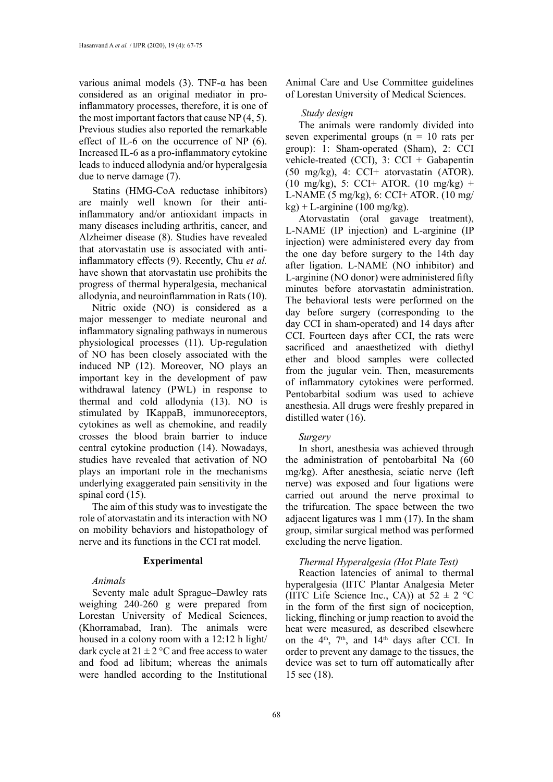various animal models (3). TNF-α has been considered as an original mediator in proinflammatory processes, therefore, it is one of the most important factors that cause NP (4, 5). Previous studies also reported the remarkable effect of IL-6 on the occurrence of NP (6). Increased IL-6 as a pro-inflammatory cytokine leads to induced allodynia and/or hyperalgesia due to nerve damage (7).

Statins (HMG-CoA reductase inhibitors) are mainly well known for their antiinflammatory and/or antioxidant impacts in many diseases including arthritis, cancer, and Alzheimer disease (8). Studies have revealed that atorvastatin use is associated with antiinflammatory effects (9). Recently, Chu *et al.* have shown that atorvastatin use prohibits the progress of thermal hyperalgesia, mechanical allodynia, and neuroinflammation in Rats (10).

Nitric oxide (NO) is considered as a major messenger to mediate neuronal and inflammatory signaling pathways in numerous physiological processes (11). Up-regulation of NO has been closely associated with the induced NP (12). Moreover, NO plays an important key in the development of paw withdrawal latency (PWL) in response to thermal and cold allodynia (13). NO is stimulated by IKappaB, immunoreceptors, cytokines as well as chemokine, and readily crosses the blood brain barrier to induce central cytokine production (14). Nowadays, studies have revealed that activation of NO plays an important role in the mechanisms underlying exaggerated pain sensitivity in the spinal cord  $(15)$ .

The aim of this study was to investigate the role of atorvastatin and its interaction with NO on mobility behaviors and histopathology of nerve and its functions in the CCI rat model.

#### **Experimental**

#### *Animals*

Seventy male adult Sprague–Dawley rats weighing 240-260 g were prepared from Lorestan University of Medical Sciences, (Khorramabad, Iran). The animals were housed in a colony room with a 12:12 h light/ dark cycle at  $21 \pm 2$  °C and free access to water and food ad libitum; whereas the animals were handled according to the Institutional Animal Care and Use Committee guidelines of Lorestan University of Medical Sciences.

# *Study design*

The animals were randomly divided into seven experimental groups ( $n = 10$  rats per group): 1: Sham-operated (Sham), 2: CCI vehicle-treated (CCI), 3: CCI + Gabapentin (50 mg/kg), 4: CCI+ atorvastatin (ATOR).  $(10 \text{ mg/kg})$ , 5: CCI+ ATOR.  $(10 \text{ mg/kg})$  + L-NAME (5 mg/kg), 6: CCI+ ATOR. (10 mg/  $kg$ ) + L-arginine (100 mg/kg).

Atorvastatin (oral gavage treatment), L-NAME (IP injection) and L-arginine (IP injection) were administered every day from the one day before surgery to the 14th day after ligation. L-NAME (NO inhibitor) and L-arginine (NO donor) were administered fifty minutes before atorvastatin administration. The behavioral tests were performed on the day before surgery (corresponding to the day CCI in sham-operated) and 14 days after CCI. Fourteen days after CCI, the rats were sacrificed and anaesthetized with diethyl ether and blood samples were collected from the jugular vein. Then, measurements of inflammatory cytokines were performed. Pentobarbital sodium was used to achieve anesthesia. All drugs were freshly prepared in distilled water (16).

# *Surgery*

In short, anesthesia was achieved through the administration of pentobarbital Na (60 mg/kg). After anesthesia, sciatic nerve (left nerve) was exposed and four ligations were carried out around the nerve proximal to the trifurcation. The space between the two adjacent ligatures was 1 mm (17). In the sham group, similar surgical method was performed excluding the nerve ligation.

# *Thermal Hyperalgesia (Hot Plate Test)*

Reaction latencies of animal to thermal hyperalgesia (IITC Plantar Analgesia Meter (IITC Life Science Inc., CA)) at  $52 \pm 2$  °C in the form of the first sign of nociception, licking, flinching or jump reaction to avoid the heat were measured, as described elsewhere on the  $4<sup>th</sup>$ ,  $7<sup>th</sup>$ , and  $14<sup>th</sup>$  days after CCI. In order to prevent any damage to the tissues, the device was set to turn off automatically after 15 sec (18).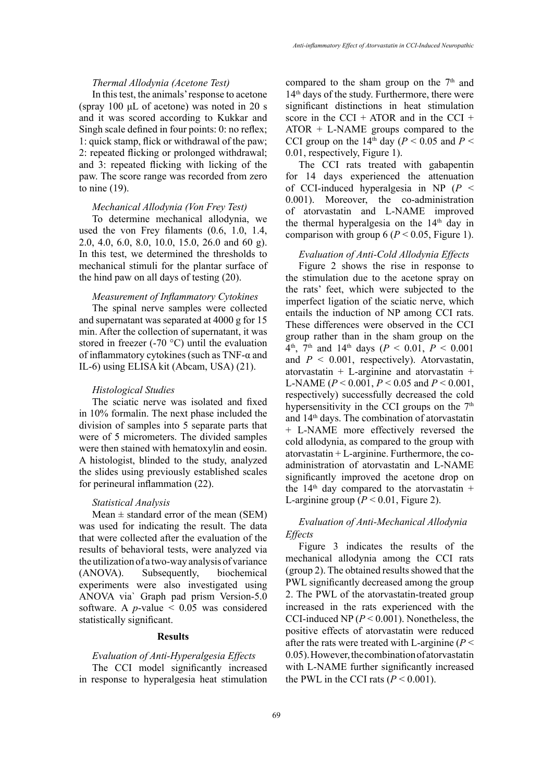# *Thermal Allodynia (Acetone Test)*

In this test, the animals' response to acetone (spray 100 μL of acetone) was noted in 20 s and it was scored according to Kukkar and Singh scale defined in four points: 0: no reflex; 1: quick stamp, flick or withdrawal of the paw; 2: repeated flicking or prolonged withdrawal; and 3: repeated flicking with licking of the paw. The score range was recorded from zero to nine (19).

# *Mechanical Allodynia (Von Frey Test)*

To determine mechanical allodynia, we used the von Frey filaments (0.6, 1.0, 1.4, 2.0, 4.0, 6.0, 8.0, 10.0, 15.0, 26.0 and 60 g). In this test, we determined the thresholds to mechanical stimuli for the plantar surface of the hind paw on all days of testing (20).

#### *Measurement of Inflammatory Cytokines*

The spinal nerve samples were collected and supernatant was separated at 4000 g for 15 min. After the collection of supernatant, it was stored in freezer (-70 °C) until the evaluation of inflammatory cytokines (such as TNF-α and IL-6) using ELISA kit (Abcam, USA) (21).

## *Histological Studies*

The sciatic nerve was isolated and fixed in 10% formalin. The next phase included the division of samples into 5 separate parts that were of 5 micrometers. The divided samples were then stained with hematoxylin and eosin. A histologist, blinded to the study, analyzed the slides using previously established scales for perineural inflammation (22).

# *Statistical Analysis*

Mean  $\pm$  standard error of the mean (SEM) was used for indicating the result. The data that were collected after the evaluation of the results of behavioral tests, were analyzed via the utilization of a two-way analysis of variance (ANOVA). Subsequently, biochemical experiments were also investigated using ANOVA via` Graph pad prism Version-5.0 software. A  $p$ -value  $\leq$  0.05 was considered statistically significant.

# **Results**

# *Evaluation of Anti-Hyperalgesia Effects*

The CCI model significantly increased in response to hyperalgesia heat stimulation compared to the sham group on the  $7<sup>th</sup>$  and 14th days of the study. Furthermore, there were significant distinctions in heat stimulation score in the CCI + ATOR and in the CCI + ATOR + L-NAME groups compared to the CCI group on the 14<sup>th</sup> day ( $P < 0.05$  and  $P <$ 0.01, respectively, Figure 1).

The CCI rats treated with gabapentin for 14 days experienced the attenuation of CCI-induced hyperalgesia in NP (*P* < 0.001). Moreover, the co-administration of atorvastatin and L-NAME improved the thermal hyperalgesia on the  $14<sup>th</sup>$  day in comparison with group  $6 (P < 0.05$ , Figure 1).

# *Evaluation of Anti-Cold Allodynia Effects*

Figure 2 shows the rise in response to the stimulation due to the acetone spray on the rats' feet, which were subjected to the imperfect ligation of the sciatic nerve, which entails the induction of NP among CCI rats. These differences were observed in the CCI group rather than in the sham group on the  $4<sup>th</sup>$ ,  $7<sup>th</sup>$  and  $14<sup>th</sup>$  days ( $P < 0.01$ ,  $P < 0.001$ ) and  $P < 0.001$ , respectively). Atorvastatin, atorvastatin  $+$  L-arginine and atorvastatin  $+$ L-NAME (*P* < 0.001, *P* < 0.05 and *P* < 0.001, respectively) successfully decreased the cold hypersensitivity in the CCI groups on the  $7<sup>th</sup>$ and 14th days. The combination of atorvastatin + L-NAME more effectively reversed the cold allodynia, as compared to the group with atorvastatin  $+$  L-arginine. Furthermore, the coadministration of atorvastatin and L-NAME significantly improved the acetone drop on the 14<sup>th</sup> day compared to the atorvastatin + L-arginine group  $(P < 0.01$ , Figure 2).

# *Evaluation of Anti-Mechanical Allodynia Effects*

Figure 3 indicates the results of the mechanical allodynia among the CCI rats (group 2). The obtained results showed that the PWL significantly decreased among the group 2. The PWL of the atorvastatin-treated group increased in the rats experienced with the CCI-induced NP (*P* < 0.001). Nonetheless, the positive effects of atorvastatin were reduced after the rats were treated with L-arginine (*P* < 0.05). However, the combination of atorvastatin with L-NAME further significantly increased the PWL in the CCI rats  $(P < 0.001)$ .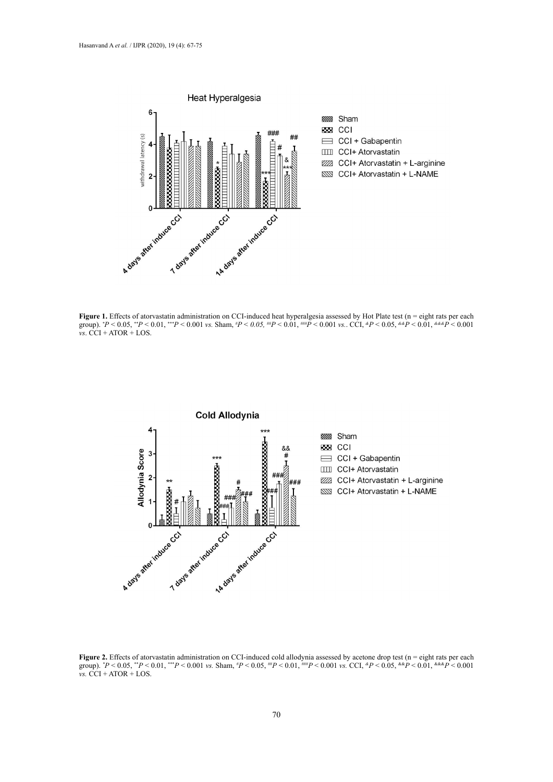

Figure 1. Effects of atorvastatin administration on CCI-induced heat hyperalgesia assessed by Hot Plate test (n = eight rats per each group). *\* P <* 0.05, *\*\*P <* 0.01, *\*\*\*P <* 0.001 *vs.* Sham, *# P < 0.05, ##P <* 0.01, *###P <* 0.001 *vs.*. CCI, *&P <* 0.05, *&&P <* 0.01, *&&&P <* 0.001  $\overrightarrow{v}$ s. CCI + ATOR + LOS.



**Figure 2.** Effects of atorvastatin administration on CCI-induced cold allodynia assessed by acetone drop test (n = eight rats per each group).  $P < 0.05$ ,  $P < 0.01$ ,  $P < 0.001$  vs. Sham,  $P < 0.05$ ,  ${}^{ \#}P < 0.01$ ,  ${}^{ \# \#}P < 0.001$  vs. CCI,  ${}^{ \#}P < 0.05$ ,  ${}^{ \# \#}P < 0.01$ ,  ${}^{ \# \# \#}P < 0.001$ *vs.* CCI + ATOR + LOS.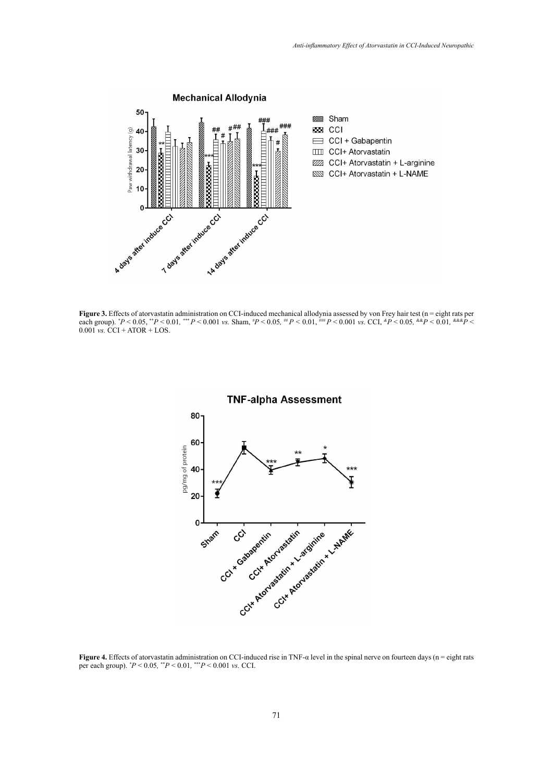

**Figure 3.**  $P < 0.05$ ,  $P < 0.01$ ,  $P < 0.001$  vs. Sham,  $P < 0.05$ ,  ${}^{m}P < 0.01$ ,  ${}^{mm}P < 0.001$  vs. CCI,  ${}^{\alpha}P < 0.05$ ,  ${}^{\alpha\alpha}P < 0.05$ **Figure 3.** Effects of atorvastatin administration on CCI-induced mechanical allodynia assessed by von Frey hair test (n = eight rats per each group).  $P < 0.05$ ,  $P < 0.01$ ,  $P < 0.001$  vs. Sham,  $P < 0.05$ ,  $P < 0.01$ ,  $P = 0.01$  vs. CCI,  $P < 0.05$ ,  $R = 0.05$ ,  $R = 0.01$ ,  $R = 0.05$ ,  $R = 0.01$ ,  $R = 0.01$ ,  $R = 0.01$ ,  $R = 0.01$ ,  $R = 0.01$ ,  $R = 0.01$ ,  $R = 0.01$ ,  $R =$ 0.001 *vs.* CCI + ATOR + LOS.



**TNF-alpha Assessment** 

Figure 4. Effects of atorvastatin administration on CCI-induced rise in TNF- $\alpha$  level in the spinal nerve on fourteen days (n = eight rats per each group). *\* P* < 0.05*,* \*\**P* < 0.01*,* \*\*\**P* < 0.001 *vs.* CCI.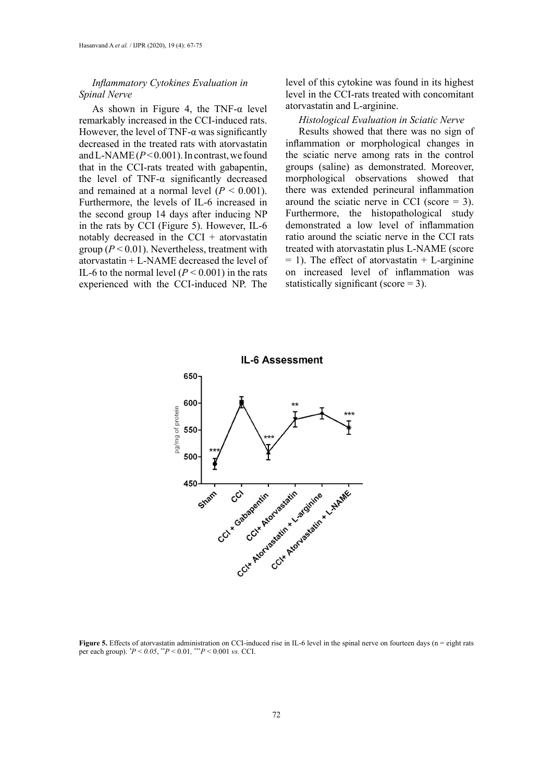# *Inflammatory Cytokines Evaluation in Spinal Nerve*

As shown in Figure 4, the TNF- $\alpha$  level remarkably increased in the CCI-induced rats. However, the level of TNF- $\alpha$  was significantly decreased in the treated rats with atorvastatin and L-NAME  $(P< 0.001)$ . In contrast, we found that in the CCI-rats treated with gabapentin, the level of TNF- $\alpha$  significantly decreased and remained at a normal level  $(P < 0.001)$ . Furthermore, the levels of IL-6 increased in the second group 14 days after inducing NP in the rats by CCI (Figure 5). However, IL-6 notably decreased in the CCI  $+$  atorvastatin group ( $P < 0.01$ ). Nevertheless, treatment with atorvastatin + L-NAME decreased the level of IL-6 to the normal level  $(P < 0.001)$  in the rats experienced with the CCI-induced NP. The

level of this cytokine was found in its highest level in the CCI-rats treated with concomitant atorvastatin and L-arginine.

# *Histological Evaluation in Sciatic Nerve*

Results showed that there was no sign of inflammation or morphological changes in the sciatic nerve among rats in the control groups (saline) as demonstrated. Moreover, morphological observations showed that there was extended perineural inflammation around the sciatic nerve in CCI (score  $=$  3). Furthermore, the histopathological study demonstrated a low level of inflammation ratio around the sciatic nerve in the CCI rats treated with atorvastatin plus L-NAME (score  $= 1$ ). The effect of atorvastatin  $+$  L-arginine on increased level of inflammation was statistically significant (score = 3).



Figure 5. Effects of atorvastatin administration on CCI-induced rise in IL-6 level in the spinal nerve on fourteen days (n = eight rats per each group). *\* P* < *0.05*, \*\**P* < 0.01*,* \*\*\**P* < 0.001 *vs.* CCI.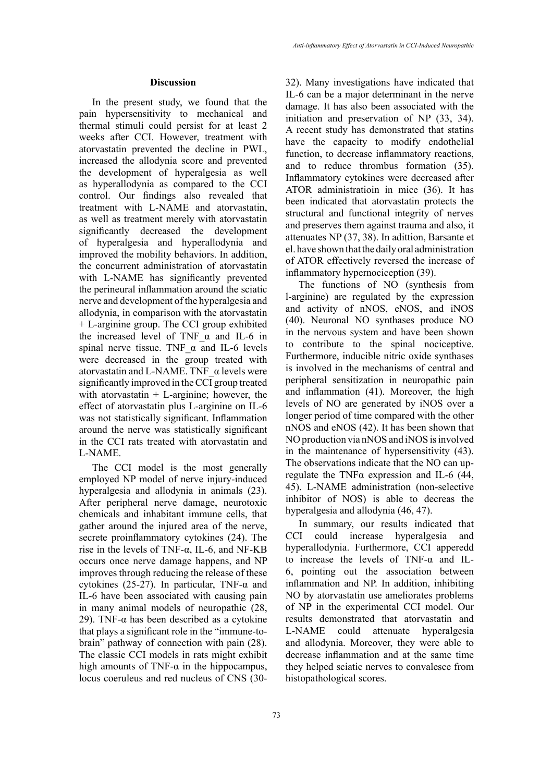#### **Discussion**

In the present study, we found that the pain hypersensitivity to mechanical and thermal stimuli could persist for at least 2 weeks after CCI. However, treatment with atorvastatin prevented the decline in PWL, increased the allodynia score and prevented the development of hyperalgesia as well as hyperallodynia as compared to the CCI control. Our findings also revealed that treatment with L-NAME and atorvastatin, as well as treatment merely with atorvastatin significantly decreased the development of hyperalgesia and hyperallodynia and improved the mobility behaviors. In addition, the concurrent administration of atorvastatin with L-NAME has significantly prevented the perineural inflammation around the sciatic nerve and development of the hyperalgesia and allodynia, in comparison with the atorvastatin + L-arginine group. The CCI group exhibited the increased level of TNF  $\alpha$  and IL-6 in spinal nerve tissue. TNF  $\alpha$  and IL-6 levels were decreased in the group treated with atorvastatin and L-NAME. TNF\_α levels were significantly improved in the CCI group treated with atorvastatin  $+$  L-arginine; however, the effect of atorvastatin plus L-arginine on IL-6 was not statistically significant. Inflammation around the nerve was statistically significant in the CCI rats treated with atorvastatin and L-NAME.

The CCI model is the most generally employed NP model of nerve injury-induced hyperalgesia and allodynia in animals (23). After peripheral nerve damage, neurotoxic chemicals and inhabitant immune cells, that gather around the injured area of the nerve, secrete proinflammatory cytokines (24). The rise in the levels of TNF-α, IL-6, and NF-ΚB occurs once nerve damage happens, and NP improves through reducing the release of these cytokines (25-27). In particular, TNF- $\alpha$  and IL-6 have been associated with causing pain in many animal models of neuropathic (28, 29). TNF- $\alpha$  has been described as a cytokine that plays a significant role in the "immune-tobrain" pathway of connection with pain (28). The classic CCI models in rats might exhibit high amounts of TNF- $\alpha$  in the hippocampus, locus coeruleus and red nucleus of CNS (3032). Many investigations have indicated that IL-6 can be a major determinant in the nerve damage. It has also been associated with the initiation and preservation of NP (33, 34). A recent study has demonstrated that statins have the capacity to modify endothelial function, to decrease inflammatory reactions, and to reduce thrombus formation (35). Inflammatory cytokines were decreased after ATOR administratioin in mice (36). It has been indicated that atorvastatin protects the structural and functional integrity of nerves and preserves them against trauma and also, it attenuates NP (37, 38). In adittion, Barsante et el. have shown that the daily oral administration of ATOR effectively reversed the increase of inflammatory hypernociception (39).

The functions of NO (synthesis from l-arginine) are regulated by the expression and activity of nNOS, eNOS, and iNOS (40). Neuronal NO synthases produce NO in the nervous system and have been shown to contribute to the spinal nociceptive. Furthermore, inducible nitric oxide synthases is involved in the mechanisms of central and peripheral sensitization in neuropathic pain and inflammation (41). Moreover, the high levels of NO are generated by iNOS over a longer period of time compared with the other nNOS and eNOS (42). It has been shown that NO production via nNOS and iNOS is involved in the maintenance of hypersensitivity (43). The observations indicate that the NO can upregulate the TNF $\alpha$  expression and IL-6 (44, 45). L-NAME administration (non-selective inhibitor of NOS) is able to decreas the hyperalgesia and allodynia (46, 47).

In summary, our results indicated that CCI could increase hyperalgesia and hyperallodynia. Furthermore, CCI apperedd to increase the levels of TNF-α and IL-6, pointing out the association between inflammation and NP. In addition, inhibiting NO by atorvastatin use ameliorates problems of NP in the experimental CCI model. Our results demonstrated that atorvastatin and L-NAME could attenuate hyperalgesia and allodynia. Moreover, they were able to decrease inflammation and at the same time they helped sciatic nerves to convalesce from histopathological scores.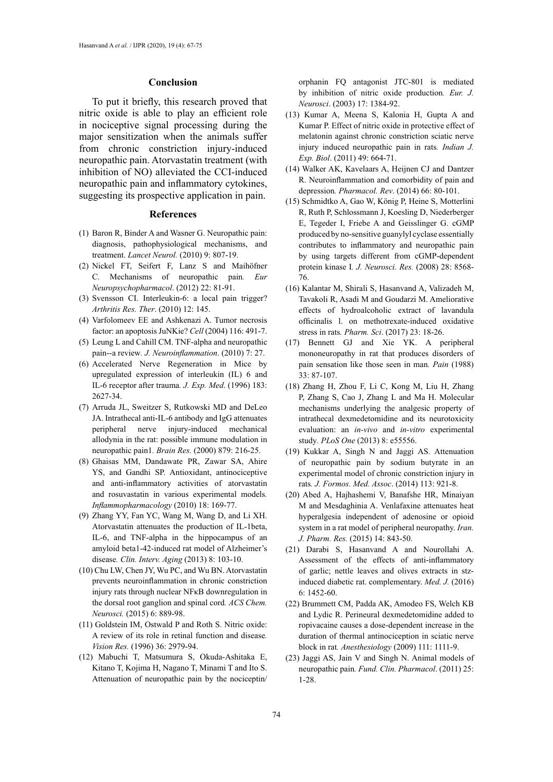#### **Conclusion**

To put it briefly, this research proved that nitric oxide is able to play an efficient role in nociceptive signal processing during the major sensitization when the animals suffer from chronic constriction injury-induced neuropathic pain. Atorvastatin treatment (with inhibition of NO) alleviated the CCI-induced neuropathic pain and inflammatory cytokines, suggesting its prospective application in pain.

#### **References**

- (1) Baron R, Binder A and Wasner G. Neuropathic pain: diagnosis, pathophysiological mechanisms, and treatment. *Lancet Neurol.* (2010) 9: 807-19.
- (2) Nickel FT, Seifert F, Lanz S and Maihöfner C. Mechanisms of neuropathic pain*. Eur Neuropsychopharmacol*. (2012) 22: 81-91.
- (3) Svensson CI. Interleukin-6: a local pain trigger? *Arthritis Res. Ther*. (2010) 12: 145.
- (4) Varfolomeev EE and Ashkenazi A. Tumor necrosis factor: an apoptosis JuNKie? *Cell* (2004) 116: 491-7.
- (5) Leung L and Cahill CM. TNF-alpha and neuropathic pain--a review*. J. Neuroinflammation*. (2010) 7: 27.
- (6) Accelerated Nerve Regeneration in Mice by upregulated expression of interleukin (IL) 6 and IL-6 receptor after trauma*. J. Exp. Med*. (1996) 183: 2627-34.
- (7) Arruda JL, Sweitzer S, Rutkowski MD and DeLeo JA. Intrathecal anti-IL-6 antibody and IgG attenuates peripheral nerve injury-induced mechanical allodynia in the rat: possible immune modulation in neuropathic pain1*. Brain Res.* (2000) 879: 216-25.
- (8) Ghaisas MM, Dandawate PR, Zawar SA, Ahire YS, and Gandhi SP. Antioxidant, antinociceptive and anti-inflammatory activities of atorvastatin and rosuvastatin in various experimental models*. Inflammopharmacology* (2010) 18: 169-77.
- (9) Zhang YY, Fan YC, Wang M, Wang D, and Li XH. Atorvastatin attenuates the production of IL-1beta, IL-6, and TNF-alpha in the hippocampus of an amyloid beta1-42-induced rat model of Alzheimer's disease*. Clin. Interv. Aging* (2013) 8: 103-10.
- (10) Chu LW, Chen JY, Wu PC, and Wu BN. Atorvastatin prevents neuroinflammation in chronic constriction injury rats through nuclear NFκB downregulation in the dorsal root ganglion and spinal cord*. ACS Chem. Neurosci.* (2015) 6: 889-98.
- (11) Goldstein IM, Ostwald P and Roth S. Nitric oxide: A review of its role in retinal function and disease*. Vision Res.* (1996) 36: 2979-94.
- (12) Mabuchi T, Matsumura S, Okuda-Ashitaka E, Kitano T, Kojima H, Nagano T, Minami T and Ito S. Attenuation of neuropathic pain by the nociceptin/

orphanin FQ antagonist JTC-801 is mediated by inhibition of nitric oxide production*. Eur. J. Neurosci*. (2003) 17: 1384-92.

- (13) Kumar A, Meena S, Kalonia H, Gupta A and Kumar P. Effect of nitric oxide in protective effect of melatonin against chronic constriction sciatic nerve injury induced neuropathic pain in rats*. Indian J. Exp. Biol*. (2011) 49: 664-71.
- (14) Walker AK, Kavelaars A, Heijnen CJ and Dantzer R. Neuroinflammation and comorbidity of pain and depression*. Pharmacol. Rev*. (2014) 66: 80-101.
- (15) Schmidtko A, Gao W, König P, Heine S, Motterlini R, Ruth P, Schlossmann J, Koesling D, Niederberger E, Tegeder I, Friebe A and Geisslinger G. cGMP produced by no-sensitive guanylyl cyclase essentially contributes to inflammatory and neuropathic pain by using targets different from cGMP-dependent protein kinase I*. J. Neurosci. Res.* (2008) 28: 8568- 76.
- (16) Kalantar M, Shirali S, Hasanvand A, Valizadeh M, Tavakoli R, Asadi M and Goudarzi M. Ameliorative effects of hydroalcoholic extract of lavandula officinalis l. on methotrexate-induced oxidative stress in rats*. Pharm. Sci*. (2017) 23: 18-26.
- (17) Bennett GJ and Xie YK. A peripheral mononeuropathy in rat that produces disorders of pain sensation like those seen in man*. Pain* (1988) 33: 87-107.
- (18) Zhang H, Zhou F, Li C, Kong M, Liu H, Zhang P, Zhang S, Cao J, Zhang L and Ma H. Molecular mechanisms underlying the analgesic property of intrathecal dexmedetomidine and its neurotoxicity evaluation: an *in-vivo* and *in-vitro* experimental study*. PLoS One* (2013) 8: e55556.
- (19) Kukkar A, Singh N and Jaggi AS. Attenuation of neuropathic pain by sodium butyrate in an experimental model of chronic constriction injury in rats*. J. Formos. Med. Assoc*. (2014) 113: 921-8.
- (20) Abed A, Hajhashemi V, Banafshe HR, Minaiyan M and Mesdaghinia A. Venlafaxine attenuates heat hyperalgesia independent of adenosine or opioid system in a rat model of peripheral neuropathy. *Iran. J. Pharm. Res.* (2015) 14: 843-50.
- (21) Darabi S, Hasanvand A and Nourollahi A. Assessment of the effects of anti-inflammatory of garlic; nettle leaves and olives extracts in stzinduced diabetic rat. complementary. *Med. J.* (2016) 6: 1452-60.
- (22) Brummett CM, Padda AK, Amodeo FS, Welch KB and Lydic R. Perineural dexmedetomidine added to ropivacaine causes a dose-dependent increase in the duration of thermal antinociception in sciatic nerve block in rat*. Anesthesiology* (2009) 111: 1111-9.
- (23) Jaggi AS, Jain V and Singh N. Animal models of neuropathic pain*. Fund. Clin. Pharmacol*. (2011) 25: 1-28.